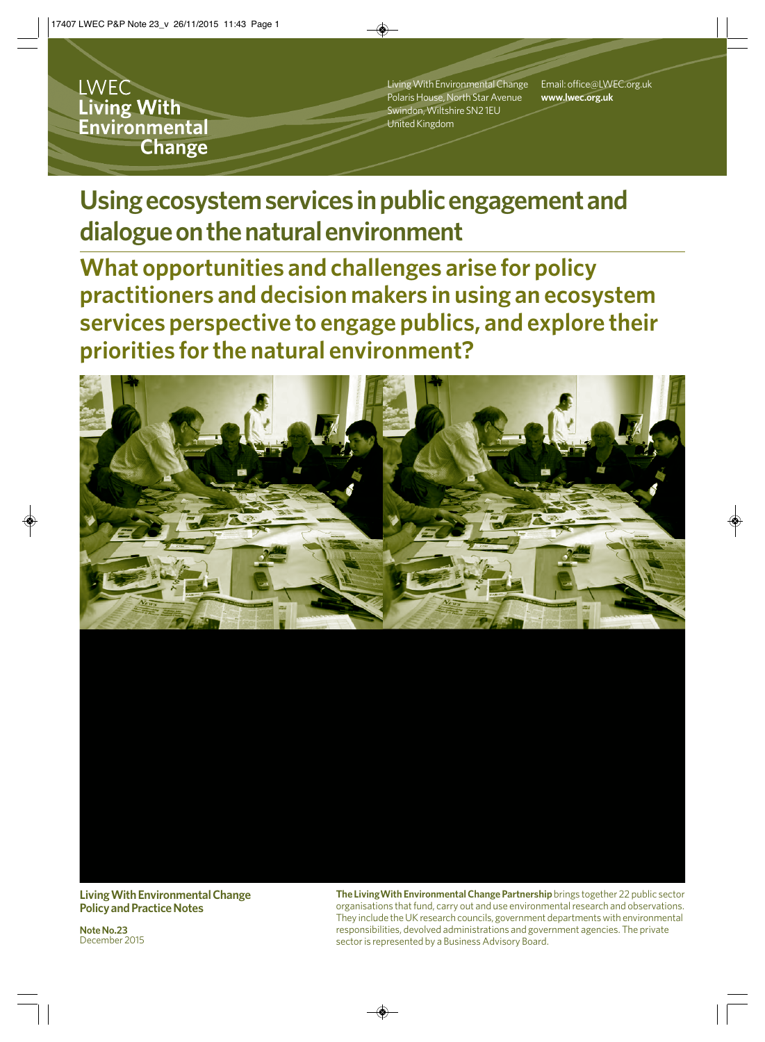**LWEC** Living With Environmental **Change** 

Living With Environmental Change Polaris House, North Star Avenue Swindon, Wiltshire SN2 1EU United Kingdom

Email: office@LWEC.org.uk **www.lwec.org.uk**

**Using ecosystem services in public engagement and dialogue on the natural environment** 

**What opportunities and challenges arise for policy practitioners and decision makers in using an ecosystem services perspective to engage publics, and explore their priorities for the natural environment?**



**Living With Environmental Change Policy and Practice Notes**

**Note No.23** December 2015 **The LivingWith Environmental Change Partnership** brings together 22 public sector organisations that fund, carry out and use environmental research and observations. They include the UK research councils, government departments with environmental responsibilities, devolved administrations and government agencies. The private sector is represented by a Business Advisory Board.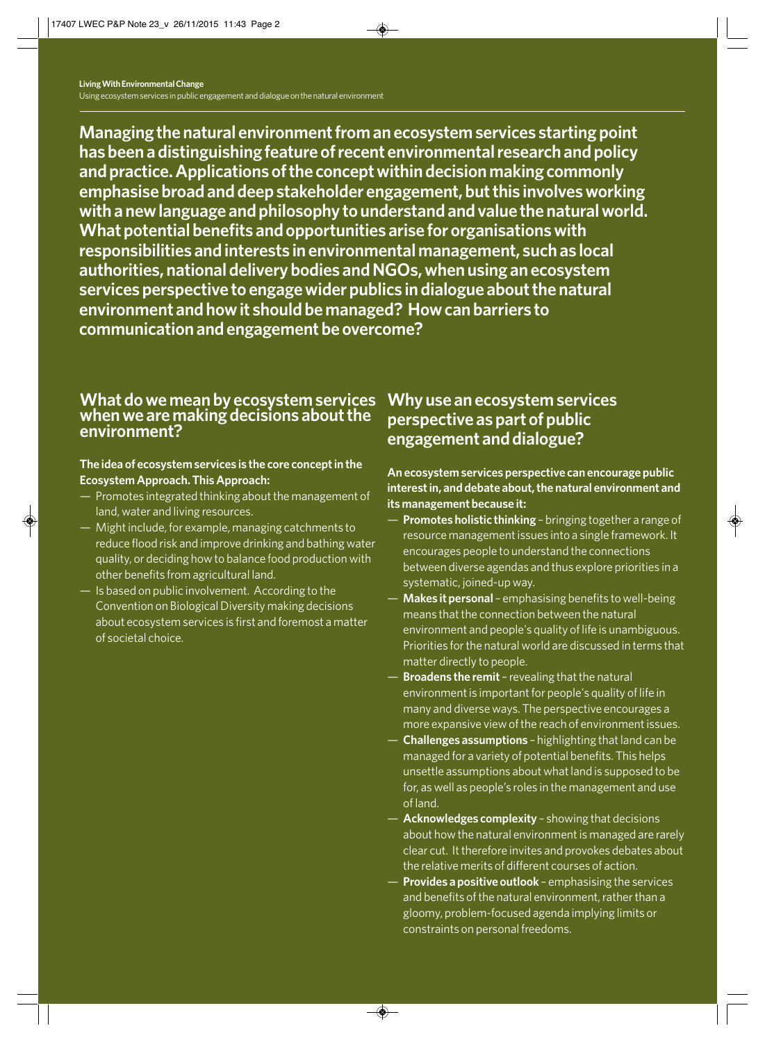**Managing the natural environment from an ecosystem services starting point has been a distinguishing feature of recent environmental research and policy and practice. Applications of the concept within decision making commonly emphasise broad and deep stakeholder engagement, but this involves working with a new language and philosophy to understand and value the natural world. What potential benefits and opportunities arise for organisations with responsibilities and interests in environmental management, such as local authorities, national delivery bodies and NGOs, when using an ecosystem services perspective to engage wider publics in dialogue about the natural environment and how it should be managed? How can barriers to communication and engagement be overcome?**

#### **What do we mean by ecosystem services when we are making decisions about the environment?**

#### **The idea of ecosystem services is the core concept in the Ecosystem Approach. This Approach:**

- Promotes integrated thinking about the management of land, water and living resources.
- Might include, for example, managing catchments to reduce flood risk and improve drinking and bathing water quality, or deciding how to balance food production with other benefits from agricultural land.
- **Is based on public involvement. According to the** Convention on Biological Diversity making decisions about ecosystem services is first and foremost a matter of societal choice.

### **Why use an ecosystem services perspective as part of public engagement and dialogue?**

**An ecosystem services perspective can encourage public interest in, and debate about, the natural environment and its management because it:**

- **Promotes holistic thinking** bringing together a range of resource management issues into a single framework. It encourages people to understand the connections between diverse agendas and thus explore priorities in a systematic, joined-up way.
- **Makes it personal** emphasising benefits to well-being means that the connection between the natural environment and people's quality of life is unambiguous. Priorities for the natural world are discussed in terms that matter directly to people.
- **Broadens the remit** revealing that the natural environment is important for people's quality of life in many and diverse ways. The perspective encourages a more expansive view of the reach of environment issues.
- **Challenges assumptions** highlighting that land can be managed for a variety of potential benefits. This helps unsettle assumptions about what land is supposed to be for, as well as people's roles in the management and use of land.
- **Acknowledges complexity** showing that decisions about how the natural environment is managed are rarely clear cut. It therefore invites and provokes debates about the relative merits of different courses of action.
- **Provides a positive outlook**  emphasising the services and benefits of the natural environment, rather than a gloomy, problem-focused agenda implying limits or constraints on personal freedoms.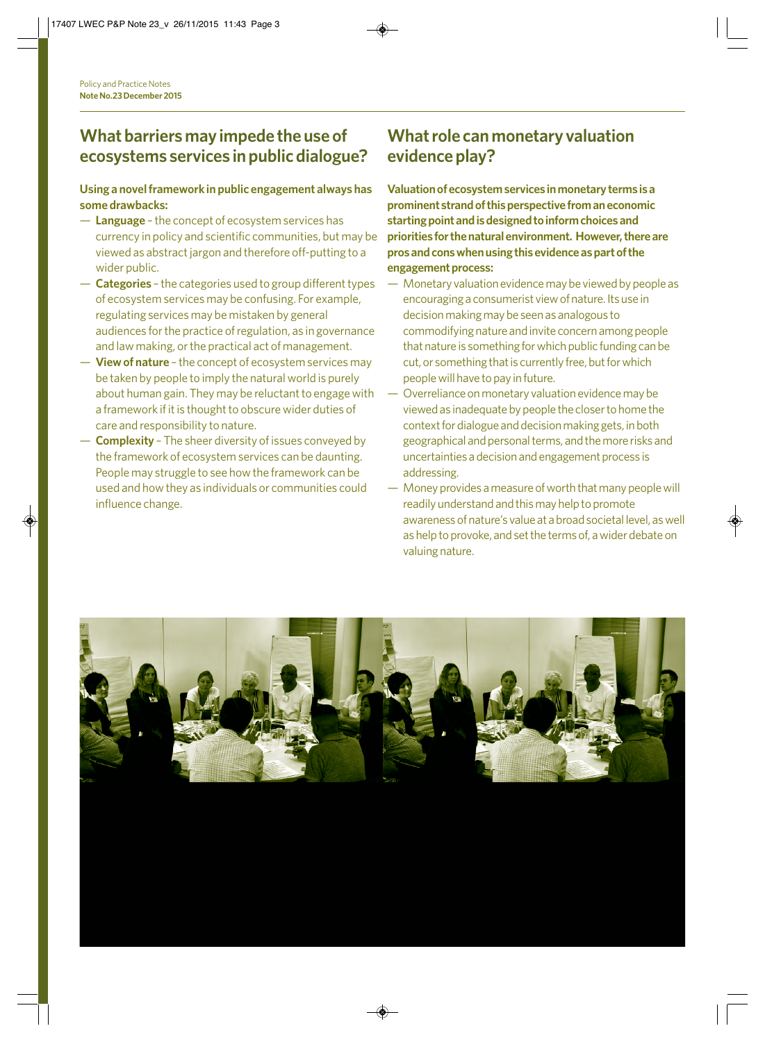### **What barriers may impede the use of ecosystems services in public dialogue?**

#### **Using a novel framework in public engagement always has some drawbacks:**

- **Language** the concept of ecosystem services has currency in policy and scientific communities, but may be viewed as abstract jargon and therefore off-putting to a wider public.
- **Categories** the categories used to group different types of ecosystem services may be confusing. For example, regulating services may be mistaken by general audiences for the practice of regulation, as in governance and law making, or the practical act of management.
- **View of nature** the concept of ecosystem services may be taken by people to imply the natural world is purely about human gain. They may be reluctant to engage with a framework if it is thought to obscure wider duties of care and responsibility to nature.
- **Complexity** The sheer diversity of issues conveyed by the framework of ecosystem services can be daunting. People may struggle to see how the framework can be used and how they as individuals or communities could influence change.

### **What role can monetary valuation evidence play?**

**Valuation of ecosystem services in monetary terms is a prominent strand of this perspective from an economic starting point and is designed to inform choices and priorities for the natural environment. However, there are pros and cons when using this evidence as part of the engagement process:**

- Monetary valuation evidence may be viewed by people as encouraging a consumerist view of nature. Its use in decision making may be seen as analogous to commodifying nature and invite concern among people that nature is something for which public funding can be cut, or something that is currently free, but for which people will have to pay in future.
- Overreliance on monetary valuation evidence may be viewed as inadequate by people the closer to home the context for dialogue and decision making gets, in both geographical and personal terms, and the more risks and uncertainties a decision and engagement process is addressing.
- Money provides a measure of worth that many people will readily understand and this may help to promote awareness of nature's value at a broad societal level, as well as help to provoke, and set the terms of, a wider debate on valuing nature.